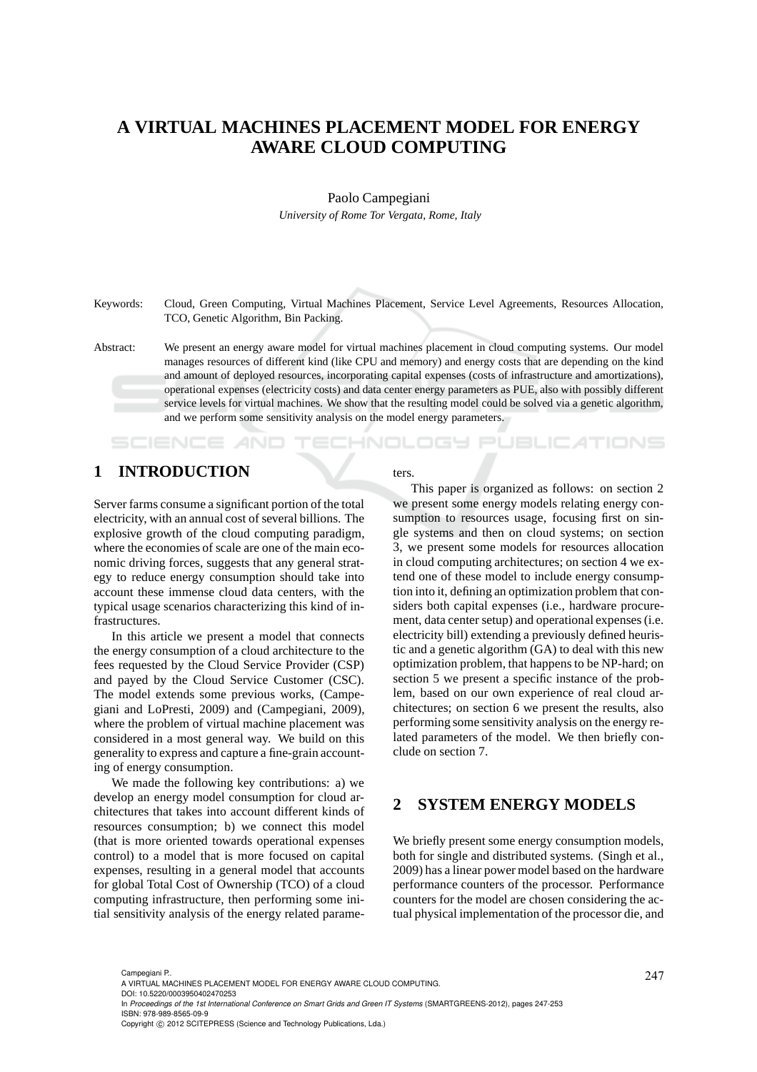# **A VIRTUAL MACHINES PLACEMENT MODEL FOR ENERGY AWARE CLOUD COMPUTING**

#### Paolo Campegiani

*University of Rome Tor Vergata, Rome, Italy*

Keywords: Cloud, Green Computing, Virtual Machines Placement, Service Level Agreements, Resources Allocation, TCO, Genetic Algorithm, Bin Packing.

# **1 INTRODUCTION**

SCIENCE AND

Server farms consume a significant portion of the total electricity, with an annual cost of several billions. The explosive growth of the cloud computing paradigm, where the economies of scale are one of the main economic driving forces, suggests that any general strategy to reduce energy consumption should take into account these immense cloud data centers, with the typical usage scenarios characterizing this kind of infrastructures.

In this article we present a model that connects the energy consumption of a cloud architecture to the fees requested by the Cloud Service Provider (CSP) and payed by the Cloud Service Customer (CSC). The model extends some previous works, (Campegiani and LoPresti, 2009) and (Campegiani, 2009), where the problem of virtual machine placement was considered in a most general way. We build on this generality to express and capture a fine-grain accounting of energy consumption.

We made the following key contributions: a) we develop an energy model consumption for cloud architectures that takes into account different kinds of resources consumption; b) we connect this model (that is more oriented towards operational expenses control) to a model that is more focused on capital expenses, resulting in a general model that accounts for global Total Cost of Ownership (TCO) of a cloud computing infrastructure, then performing some initial sensitivity analysis of the energy related parameters.

This paper is organized as follows: on section 2 we present some energy models relating energy consumption to resources usage, focusing first on single systems and then on cloud systems; on section 3, we present some models for resources allocation in cloud computing architectures; on section 4 we extend one of these model to include energy consumption into it, defining an optimization problem that considers both capital expenses (i.e., hardware procurement, data center setup) and operational expenses (i.e. electricity bill) extending a previously defined heuristic and a genetic algorithm (GA) to deal with this new optimization problem, that happens to be NP-hard; on section 5 we present a specific instance of the problem, based on our own experience of real cloud architectures; on section 6 we present the results, also performing some sensitivity analysis on the energy related parameters of the model. We then briefly conclude on section 7.

'ECHNOLOGY PUBLICATIONS

# **2 SYSTEM ENERGY MODELS**

We briefly present some energy consumption models, both for single and distributed systems. (Singh et al., 2009) has a linear power model based on the hardware performance counters of the processor. Performance counters for the model are chosen considering the actual physical implementation of the processor die, and

Abstract: We present an energy aware model for virtual machines placement in cloud computing systems. Our model manages resources of different kind (like CPU and memory) and energy costs that are depending on the kind and amount of deployed resources, incorporating capital expenses (costs of infrastructure and amortizations), operational expenses (electricity costs) and data center energy parameters as PUE, also with possibly different service levels for virtual machines. We show that the resulting model could be solved via a genetic algorithm, and we perform some sensitivity analysis on the model energy parameters.

<sup>247</sup> Campegiani P.. A VIRTUAL MACHINES PLACEMENT MODEL FOR ENERGY AWARE CLOUD COMPUTING.

DOI: 10.5220/0003950402470253

In *Proceedings of the 1st International Conference on Smart Grids and Green IT Systems* (SMARTGREENS-2012), pages 247-253 ISBN: 978-989-8565-09-9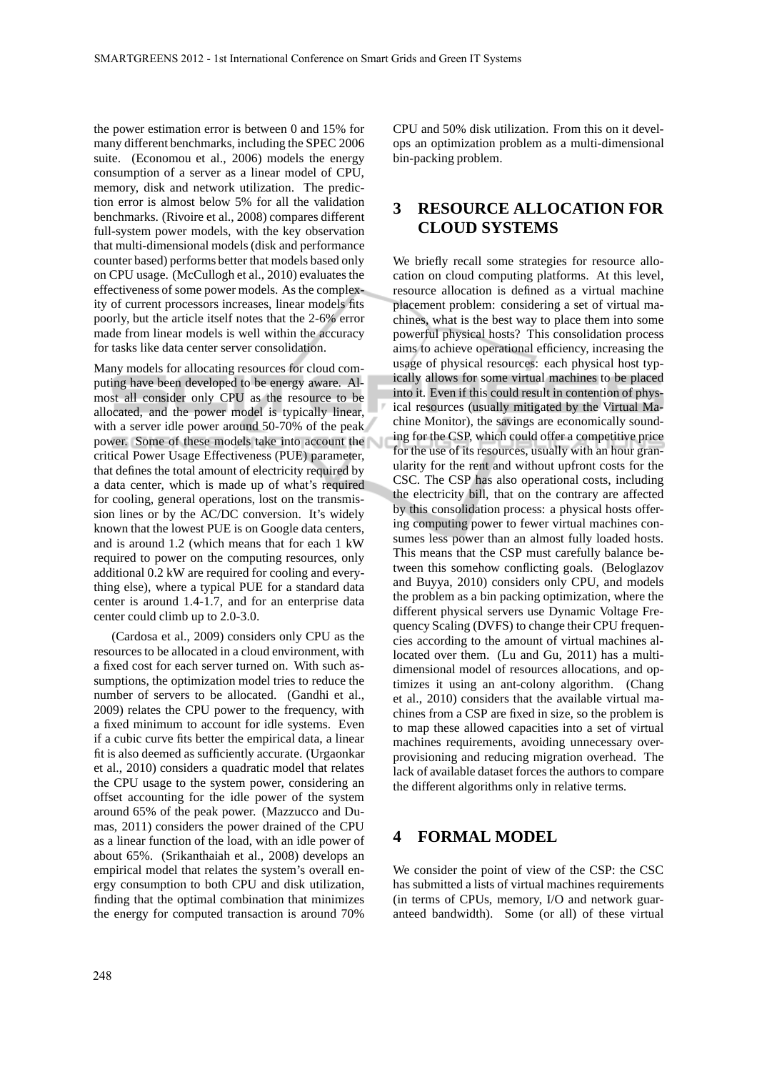the power estimation error is between 0 and 15% for many different benchmarks, including the SPEC 2006 suite. (Economou et al., 2006) models the energy consumption of a server as a linear model of CPU, memory, disk and network utilization. The prediction error is almost below 5% for all the validation benchmarks. (Rivoire et al., 2008) compares different full-system power models, with the key observation that multi-dimensional models (disk and performance counter based) performs better that models based only on CPU usage. (McCullogh et al., 2010) evaluates the effectiveness of some power models. As the complexity of current processors increases, linear models fits poorly, but the article itself notes that the 2-6% error made from linear models is well within the accuracy for tasks like data center server consolidation.

Many models for allocating resources for cloud computing have been developed to be energy aware. Almost all consider only CPU as the resource to be allocated, and the power model is typically linear, with a server idle power around 50-70% of the peak power. Some of these models take into account the critical Power Usage Effectiveness (PUE) parameter, that defines the total amount of electricity required by a data center, which is made up of what's required for cooling, general operations, lost on the transmission lines or by the AC/DC conversion. It's widely known that the lowest PUE is on Google data centers, and is around 1.2 (which means that for each 1 kW required to power on the computing resources, only additional 0.2 kW are required for cooling and everything else), where a typical PUE for a standard data center is around 1.4-1.7, and for an enterprise data center could climb up to 2.0-3.0.

(Cardosa et al., 2009) considers only CPU as the resources to be allocated in a cloud environment, with a fixed cost for each server turned on. With such assumptions, the optimization model tries to reduce the number of servers to be allocated. (Gandhi et al., 2009) relates the CPU power to the frequency, with a fixed minimum to account for idle systems. Even if a cubic curve fits better the empirical data, a linear fit is also deemed as sufficiently accurate. (Urgaonkar et al., 2010) considers a quadratic model that relates the CPU usage to the system power, considering an offset accounting for the idle power of the system around 65% of the peak power. (Mazzucco and Dumas, 2011) considers the power drained of the CPU as a linear function of the load, with an idle power of about 65%. (Srikanthaiah et al., 2008) develops an empirical model that relates the system's overall energy consumption to both CPU and disk utilization, finding that the optimal combination that minimizes the energy for computed transaction is around 70%

CPU and 50% disk utilization. From this on it develops an optimization problem as a multi-dimensional bin-packing problem.

# **3 RESOURCE ALLOCATION FOR CLOUD SYSTEMS**

We briefly recall some strategies for resource allocation on cloud computing platforms. At this level, resource allocation is defined as a virtual machine placement problem: considering a set of virtual machines, what is the best way to place them into some powerful physical hosts? This consolidation process aims to achieve operational efficiency, increasing the usage of physical resources: each physical host typically allows for some virtual machines to be placed into it. Even if this could result in contention of physical resources (usually mitigated by the Virtual Machine Monitor), the savings are economically sounding for the CSP, which could offer a competitive price for the use of its resources, usually with an hour granularity for the rent and without upfront costs for the CSC. The CSP has also operational costs, including the electricity bill, that on the contrary are affected by this consolidation process: a physical hosts offering computing power to fewer virtual machines consumes less power than an almost fully loaded hosts. This means that the CSP must carefully balance between this somehow conflicting goals. (Beloglazov and Buyya, 2010) considers only CPU, and models the problem as a bin packing optimization, where the different physical servers use Dynamic Voltage Frequency Scaling (DVFS) to change their CPU frequencies according to the amount of virtual machines allocated over them. (Lu and Gu, 2011) has a multidimensional model of resources allocations, and optimizes it using an ant-colony algorithm. (Chang et al., 2010) considers that the available virtual machines from a CSP are fixed in size, so the problem is to map these allowed capacities into a set of virtual machines requirements, avoiding unnecessary overprovisioning and reducing migration overhead. The lack of available dataset forces the authors to compare the different algorithms only in relative terms.

#### **4 FORMAL MODEL**

We consider the point of view of the CSP: the CSC has submitted a lists of virtual machines requirements (in terms of CPUs, memory, I/O and network guaranteed bandwidth). Some (or all) of these virtual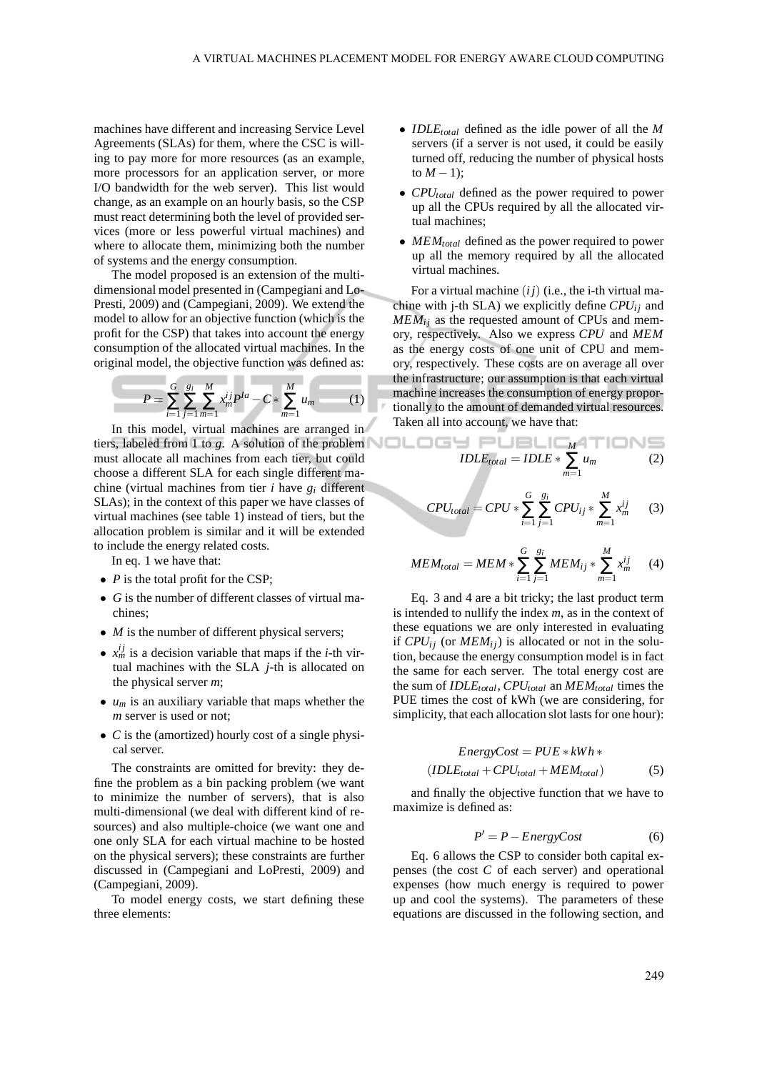machines have different and increasing Service Level Agreements (SLAs) for them, where the CSC is willing to pay more for more resources (as an example, more processors for an application server, or more I/O bandwidth for the web server). This list would change, as an example on an hourly basis, so the CSP must react determining both the level of provided services (more or less powerful virtual machines) and where to allocate them, minimizing both the number of systems and the energy consumption.

The model proposed is an extension of the multidimensional model presented in (Campegiani and Lo-Presti, 2009) and (Campegiani, 2009). We extend the model to allow for an objective function (which is the profit for the CSP) that takes into account the energy consumption of the allocated virtual machines. In the original model, the objective function was defined as:

$$
P = \sum_{i=1}^{G} \sum_{j=1}^{g_i} \sum_{m=1}^{M} x_m^{ij} P^{la} - C * \sum_{m=1}^{M} u_m \tag{1}
$$

In this model, virtual machines are arranged in tiers, labeled from 1 to *g*. A solution of the problem must allocate all machines from each tier, but could choose a different SLA for each single different machine (virtual machines from tier *i* have *g<sup>i</sup>* different SLAs); in the context of this paper we have classes of virtual machines (see table 1) instead of tiers, but the allocation problem is similar and it will be extended to include the energy related costs.

In eq. 1 we have that:

- *P* is the total profit for the CSP;
- *G* is the number of different classes of virtual machines;
- *M* is the number of different physical servers;
- $x_m^{ij}$  is a decision variable that maps if the *i*-th virtual machines with the SLA *j*-th is allocated on the physical server *m*;
- $\bullet$   $u_m$  is an auxiliary variable that maps whether the *m* server is used or not;
- *C* is the (amortized) hourly cost of a single physical server.

The constraints are omitted for brevity: they define the problem as a bin packing problem (we want to minimize the number of servers), that is also multi-dimensional (we deal with different kind of resources) and also multiple-choice (we want one and one only SLA for each virtual machine to be hosted on the physical servers); these constraints are further discussed in (Campegiani and LoPresti, 2009) and (Campegiani, 2009).

To model energy costs, we start defining these three elements:

- *IDLEtotal* defined as the idle power of all the *M* servers (if a server is not used, it could be easily turned off, reducing the number of physical hosts to  $M - 1$ );
- *CPUtotal* defined as the power required to power up all the CPUs required by all the allocated virtual machines;
- *MEMtotal* defined as the power required to power up all the memory required by all the allocated virtual machines.

For a virtual machine  $(ij)$  (i.e., the i-th virtual machine with j-th SLA) we explicitly define  $CPU_{ij}$  and  $MEM_{ij}$  as the requested amount of CPUs and memory, respectively. Also we express *CPU* and *MEM* as the energy costs of one unit of CPU and memory, respectively. These costs are on average all over the infrastructure; our assumption is that each virtual machine increases the consumption of energy proportionally to the amount of demanded virtual resources. Taken all into account, we have that:

$$
IDLEtotal = IDLE * \sum_{m=1}^{M} u_m
$$
 (2)

$$
CPU_{total} = CPU * \sum_{i=1}^{G} \sum_{j=1}^{g_i} CPU_{ij} * \sum_{m=1}^{M} x_m^{ij}
$$
 (3)

$$
MEM_{total} = MEM * \sum_{i=1}^{G} \sum_{j=1}^{g_i} MEM_{ij} * \sum_{m=1}^{M} x_m^{ij}
$$
 (4)

Eq. 3 and 4 are a bit tricky; the last product term is intended to nullify the index *m*, as in the context of these equations we are only interested in evaluating if  $CPU_{ii}$  (or  $MEM_{ii}$ ) is allocated or not in the solution, because the energy consumption model is in fact the same for each server. The total energy cost are the sum of *IDLEtotal*, *CPUtotal* an *MEMtotal* times the PUE times the cost of kWh (we are considering, for simplicity, that each allocation slot lasts for one hour):

$$
EnergyCost = PUE * kWh *(IDLEtotal + CPUtotal + MEMtotal)
$$
 (5)

and finally the objective function that we have to maximize is defined as:

$$
P' = P - EnergyCost \tag{6}
$$

Eq. 6 allows the CSP to consider both capital expenses (the cost *C* of each server) and operational expenses (how much energy is required to power up and cool the systems). The parameters of these equations are discussed in the following section, and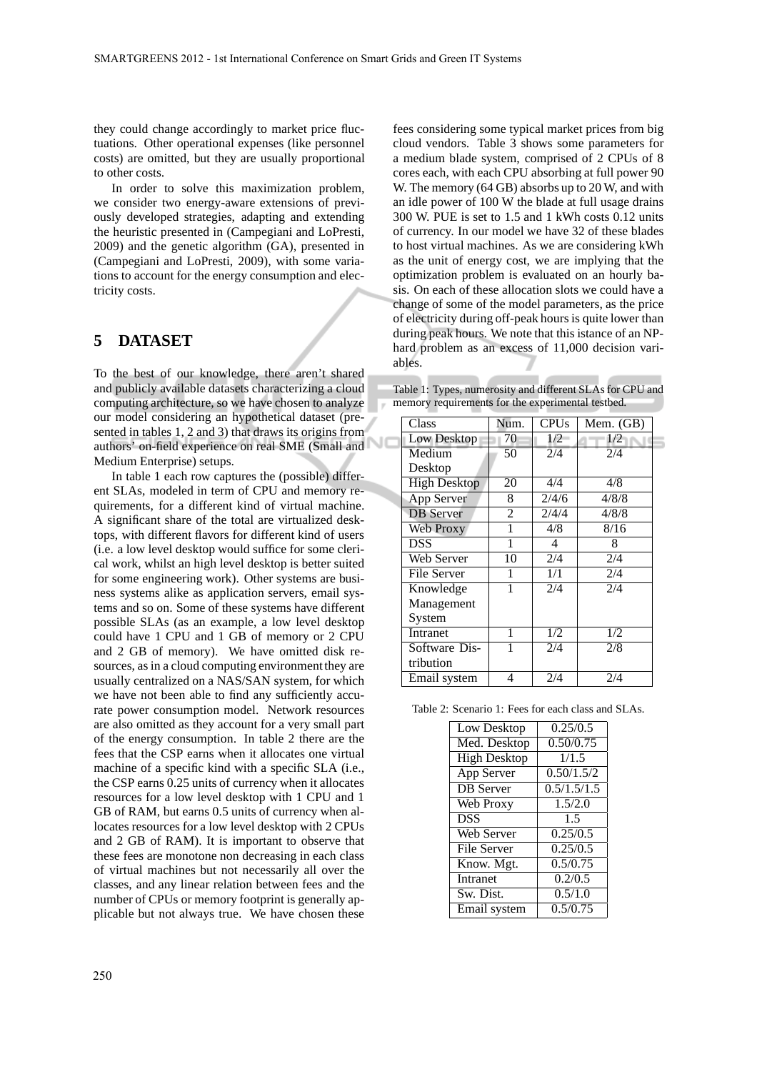they could change accordingly to market price fluctuations. Other operational expenses (like personnel costs) are omitted, but they are usually proportional to other costs.

In order to solve this maximization problem, we consider two energy-aware extensions of previously developed strategies, adapting and extending the heuristic presented in (Campegiani and LoPresti, 2009) and the genetic algorithm (GA), presented in (Campegiani and LoPresti, 2009), with some variations to account for the energy consumption and electricity costs.

## **5 DATASET**

To the best of our knowledge, there aren't shared and publicly available datasets characterizing a cloud computing architecture, so we have chosen to analyze our model considering an hypothetical dataset (presented in tables 1, 2 and 3) that draws its origins from authors' on-field experience on real SME (Small and Medium Enterprise) setups.

In table 1 each row captures the (possible) different SLAs, modeled in term of CPU and memory requirements, for a different kind of virtual machine. A significant share of the total are virtualized desktops, with different flavors for different kind of users (i.e. a low level desktop would suffice for some clerical work, whilst an high level desktop is better suited for some engineering work). Other systems are business systems alike as application servers, email systems and so on. Some of these systems have different possible SLAs (as an example, a low level desktop could have 1 CPU and 1 GB of memory or 2 CPU and 2 GB of memory). We have omitted disk resources, as in a cloud computing environment they are usually centralized on a NAS/SAN system, for which we have not been able to find any sufficiently accurate power consumption model. Network resources are also omitted as they account for a very small part of the energy consumption. In table 2 there are the fees that the CSP earns when it allocates one virtual machine of a specific kind with a specific SLA (i.e., the CSP earns 0.25 units of currency when it allocates resources for a low level desktop with 1 CPU and 1 GB of RAM, but earns 0.5 units of currency when allocates resources for a low level desktop with 2 CPUs and 2 GB of RAM). It is important to observe that these fees are monotone non decreasing in each class of virtual machines but not necessarily all over the classes, and any linear relation between fees and the number of CPUs or memory footprint is generally applicable but not always true. We have chosen these fees considering some typical market prices from big cloud vendors. Table 3 shows some parameters for a medium blade system, comprised of 2 CPUs of 8 cores each, with each CPU absorbing at full power 90 W. The memory (64 GB) absorbs up to 20 W, and with an idle power of 100 W the blade at full usage drains 300 W. PUE is set to 1.5 and 1 kWh costs 0.12 units of currency. In our model we have 32 of these blades to host virtual machines. As we are considering kWh as the unit of energy cost, we are implying that the optimization problem is evaluated on an hourly basis. On each of these allocation slots we could have a change of some of the model parameters, as the price of electricity during off-peak hours is quite lower than during peak hours. We note that this istance of an NPhard problem as an excess of 11,000 decision variables.

Table 1: Types, numerosity and different SLAs for CPU and memory requirements for the experimental testbed.

| Class               | Num.           | <b>CPUs</b> | Mem. (GB) |
|---------------------|----------------|-------------|-----------|
| Low Desktop         | 70             | 1/2         | 1/2       |
| Medium              | 50             | 2/4         | 2/4       |
| Desktop             |                |             |           |
| <b>High Desktop</b> | 20             | 4/4         | 4/8       |
| App Server          | 8              | 2/4/6       | 4/8/8     |
| <b>DB</b> Server    | $\overline{2}$ | 2/4/4       | 4/8/8     |
| Web Proxy           |                | 4/8         | 8/16      |
| <b>DSS</b>          |                | 4           | 8         |
| Web Server          | 10             | 2/4         | 2/4       |
| File Server         | 1              | 1/1         | 2/4       |
| Knowledge           | 1              | 2/4         | 2/4       |
| Management          |                |             |           |
| System              |                |             |           |
| Intranet            | 1              | 1/2         | 1/2       |
| Software Dis-       | 1              | 2/4         | 2/8       |
| tribution           |                |             |           |
| Email system        | 4              | 2/4         | 2/4       |

Table 2: Scenario 1: Fees for each class and SLAs.

| Low Desktop         | 0.25/0.5    |
|---------------------|-------------|
| Med. Desktop        | 0.50/0.75   |
| <b>High Desktop</b> | 1/1.5       |
| App Server          | 0.50/1.5/2  |
| <b>DB</b> Server    | 0.5/1.5/1.5 |
| Web Proxy           | 1.5/2.0     |
| <b>DSS</b>          | 1.5         |
| <b>Web Server</b>   | 0.25/0.5    |
| File Server         | 0.25/0.5    |
| Know. Mgt.          | 0.5/0.75    |
| Intranet            | 0.2/0.5     |
| Sw. Dist.           | 0.5/1.0     |
| Email system        | 0.5/0.75    |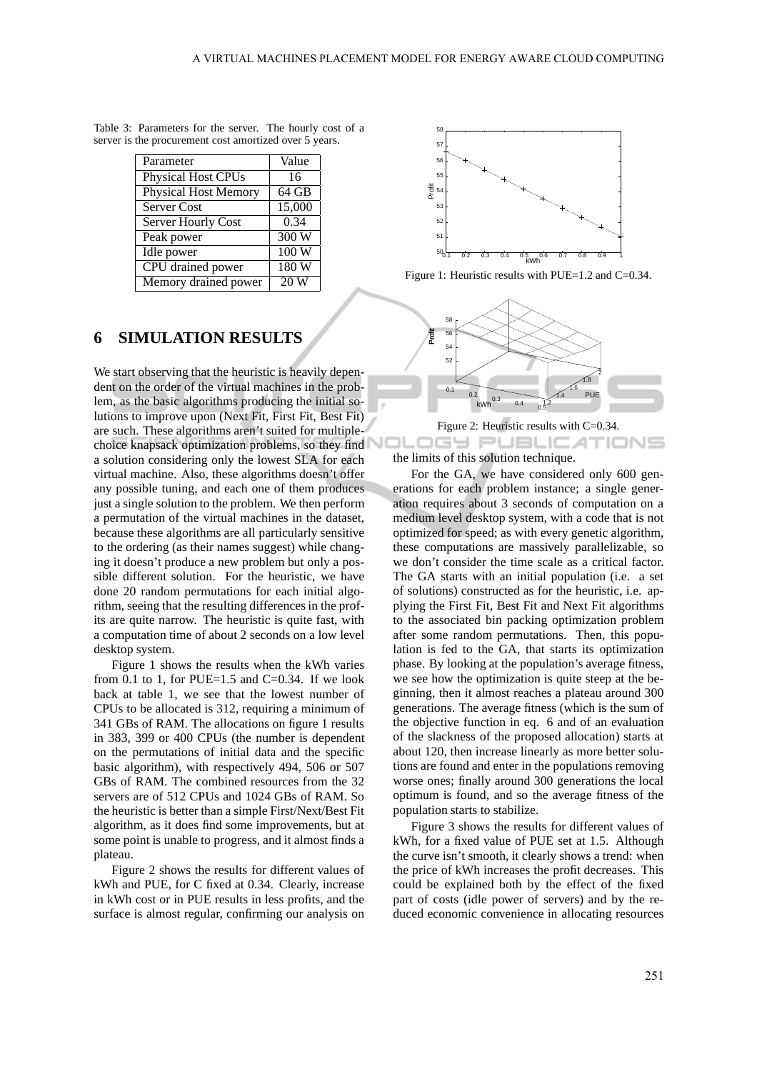| Parameter                   | Value              |
|-----------------------------|--------------------|
| <b>Physical Host CPUs</b>   | 16                 |
| <b>Physical Host Memory</b> | $64 \overline{GB}$ |
| Server Cost                 | 15,000             |
| Server Hourly Cost          | 0.34               |
| Peak power                  | 300 W              |
| Idle power                  | 100W               |
| CPU drained power           | 180W               |
| Memory drained power        |                    |

Table 3: Parameters for the server. The hourly cost of a server is the procurement cost amortized over 5 years.

#### **6 SIMULATION RESULTS**

We start observing that the heuristic is heavily dependent on the order of the virtual machines in the problem, as the basic algorithms producing the initial solutions to improve upon (Next Fit, First Fit, Best Fit) are such. These algorithms aren't suited for multiplechoice knapsack optimization problems, so they find a solution considering only the lowest SLA for each virtual machine. Also, these algorithms doesn't offer any possible tuning, and each one of them produces just a single solution to the problem. We then perform a permutation of the virtual machines in the dataset, because these algorithms are all particularly sensitive to the ordering (as their names suggest) while changing it doesn't produce a new problem but only a possible different solution. For the heuristic, we have done 20 random permutations for each initial algorithm, seeing that the resulting differences in the profits are quite narrow. The heuristic is quite fast, with a computation time of about 2 seconds on a low level desktop system.

Figure 1 shows the results when the kWh varies from 0.1 to 1, for PUE=1.5 and  $C=0.34$ . If we look back at table 1, we see that the lowest number of CPUs to be allocated is 312, requiring a minimum of 341 GBs of RAM. The allocations on figure 1 results in 383, 399 or 400 CPUs (the number is dependent on the permutations of initial data and the specific basic algorithm), with respectively 494, 506 or 507 GBs of RAM. The combined resources from the 32 servers are of 512 CPUs and 1024 GBs of RAM. So the heuristic is better than a simple First/Next/Best Fit algorithm, as it does find some improvements, but at some point is unable to progress, and it almost finds a plateau.

Figure 2 shows the results for different values of kWh and PUE, for C fixed at 0.34. Clearly, increase in kWh cost or in PUE results in less profits, and the surface is almost regular, confirming our analysis on



Figure 1: Heuristic results with PUE=1.2 and C=0.34.



Figure 2: Heuristic results with C=0.34.

IGY PUBLIC*A*TIONS the limits of this solution technique.

For the GA, we have considered only 600 generations for each problem instance; a single generation requires about 3 seconds of computation on a medium level desktop system, with a code that is not optimized for speed; as with every genetic algorithm, these computations are massively parallelizable, so we don't consider the time scale as a critical factor. The GA starts with an initial population (i.e. a set of solutions) constructed as for the heuristic, i.e. applying the First Fit, Best Fit and Next Fit algorithms to the associated bin packing optimization problem after some random permutations. Then, this population is fed to the GA, that starts its optimization phase. By looking at the population's average fitness, we see how the optimization is quite steep at the beginning, then it almost reaches a plateau around 300 generations. The average fitness (which is the sum of the objective function in eq. 6 and of an evaluation of the slackness of the proposed allocation) starts at about 120, then increase linearly as more better solutions are found and enter in the populations removing worse ones; finally around 300 generations the local optimum is found, and so the average fitness of the population starts to stabilize.

Figure 3 shows the results for different values of kWh, for a fixed value of PUE set at 1.5. Although the curve isn't smooth, it clearly shows a trend: when the price of kWh increases the profit decreases. This could be explained both by the effect of the fixed part of costs (idle power of servers) and by the reduced economic convenience in allocating resources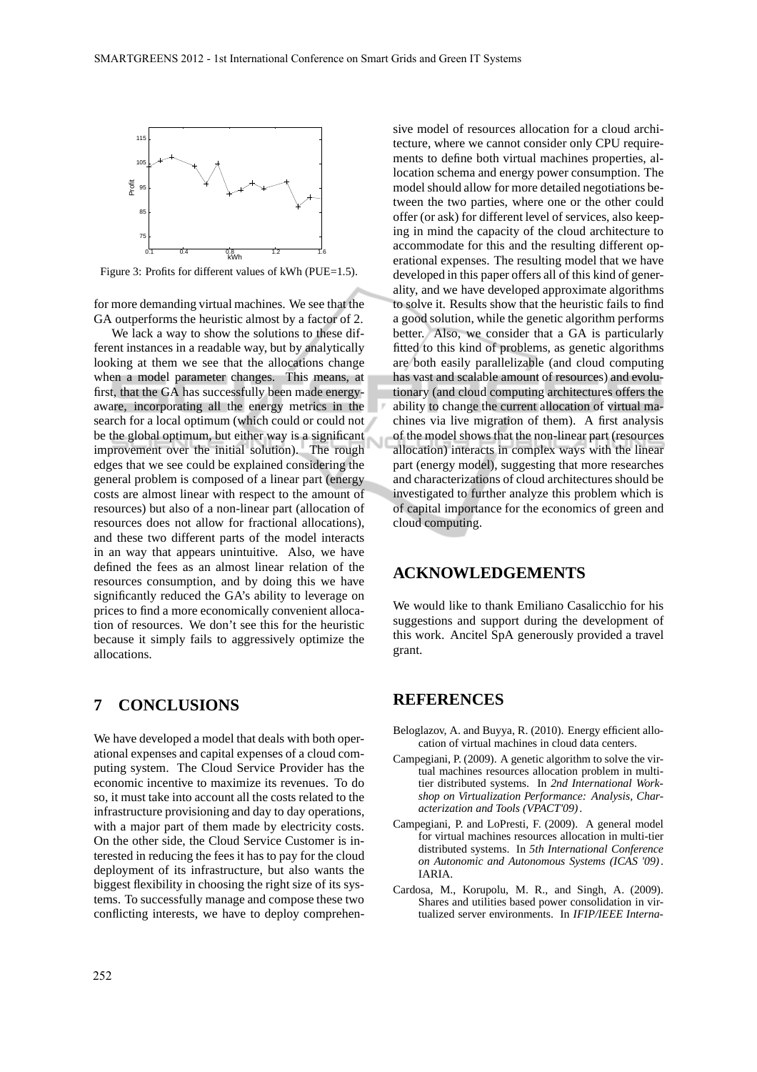

Figure 3: Profits for different values of kWh (PUE=1.5).

for more demanding virtual machines. We see that the GA outperforms the heuristic almost by a factor of 2.

We lack a way to show the solutions to these different instances in a readable way, but by analytically looking at them we see that the allocations change when a model parameter changes. This means, at first, that the GA has successfully been made energyaware, incorporating all the energy metrics in the search for a local optimum (which could or could not be the global optimum, but either way is a significant improvement over the initial solution). The rough edges that we see could be explained considering the general problem is composed of a linear part (energy costs are almost linear with respect to the amount of resources) but also of a non-linear part (allocation of resources does not allow for fractional allocations), and these two different parts of the model interacts in an way that appears unintuitive. Also, we have defined the fees as an almost linear relation of the resources consumption, and by doing this we have significantly reduced the GA's ability to leverage on prices to find a more economically convenient allocation of resources. We don't see this for the heuristic because it simply fails to aggressively optimize the allocations.

## **7 CONCLUSIONS**

We have developed a model that deals with both operational expenses and capital expenses of a cloud computing system. The Cloud Service Provider has the economic incentive to maximize its revenues. To do so, it must take into account all the costs related to the infrastructure provisioning and day to day operations, with a major part of them made by electricity costs. On the other side, the Cloud Service Customer is interested in reducing the fees it has to pay for the cloud deployment of its infrastructure, but also wants the biggest flexibility in choosing the right size of its systems. To successfully manage and compose these two conflicting interests, we have to deploy comprehen-

sive model of resources allocation for a cloud architecture, where we cannot consider only CPU requirements to define both virtual machines properties, allocation schema and energy power consumption. The model should allow for more detailed negotiations between the two parties, where one or the other could offer (or ask) for different level of services, also keeping in mind the capacity of the cloud architecture to accommodate for this and the resulting different operational expenses. The resulting model that we have developed in this paper offers all of this kind of generality, and we have developed approximate algorithms to solve it. Results show that the heuristic fails to find a good solution, while the genetic algorithm performs better. Also, we consider that a GA is particularly fitted to this kind of problems, as genetic algorithms are both easily parallelizable (and cloud computing has vast and scalable amount of resources) and evolutionary (and cloud computing architectures offers the ability to change the current allocation of virtual machines via live migration of them). A first analysis of the model shows that the non-linear part (resources allocation) interacts in complex ways with the linear part (energy model), suggesting that more researches and characterizations of cloud architectures should be investigated to further analyze this problem which is of capital importance for the economics of green and cloud computing.

#### **ACKNOWLEDGEMENTS**

We would like to thank Emiliano Casalicchio for his suggestions and support during the development of this work. Ancitel SpA generously provided a travel grant.

#### **REFERENCES**

- Beloglazov, A. and Buyya, R. (2010). Energy efficient allocation of virtual machines in cloud data centers.
- Campegiani, P. (2009). A genetic algorithm to solve the virtual machines resources allocation problem in multitier distributed systems. In *2nd International Workshop on Virtualization Performance: Analysis, Characterization and Tools (VPACT'09)*.
- Campegiani, P. and LoPresti, F. (2009). A general model for virtual machines resources allocation in multi-tier distributed systems. In *5th International Conference on Autonomic and Autonomous Systems (ICAS '09)*. IARIA.
- Cardosa, M., Korupolu, M. R., and Singh, A. (2009). Shares and utilities based power consolidation in virtualized server environments. In *IFIP/IEEE Interna-*